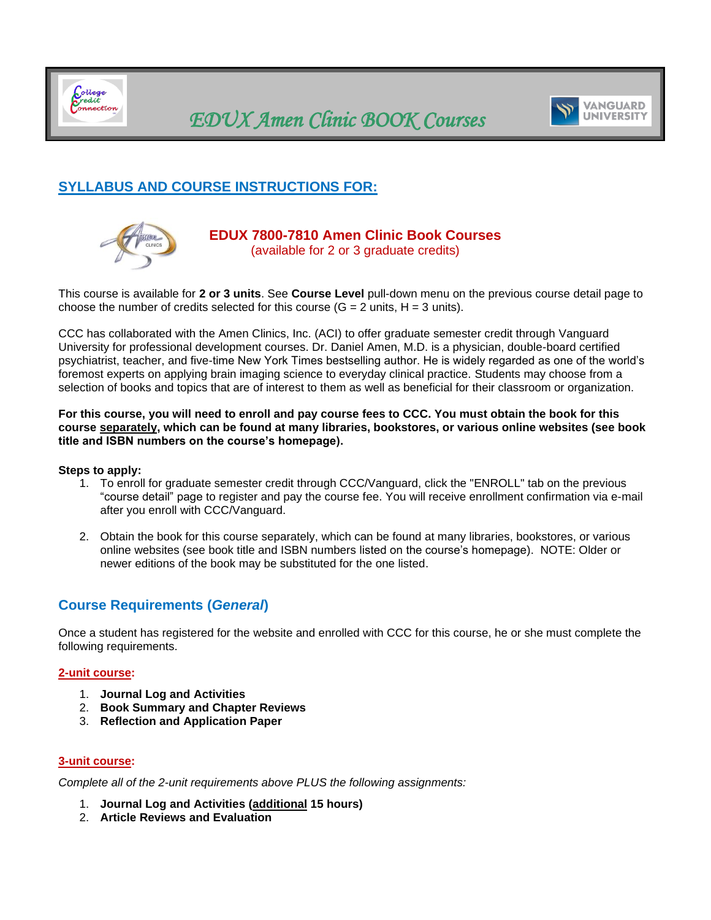<span id="page-0-0"></span>

# *EDUX Amen Clinic BOOK Courses*



## **SYLLABUS AND COURSE INSTRUCTIONS FOR:**



#### **EDUX 7800-7810 Amen Clinic Book Courses**  (available for 2 or 3 graduate credits)

This course is available for **2 or 3 units**. See **Course Level** pull-down menu on the previous course detail page to choose the number of credits selected for this course  $(G = 2 \text{ units}, H = 3 \text{ units}).$ 

CCC has collaborated with the Amen Clinics, Inc. (ACI) to offer graduate semester credit through Vanguard University for professional development courses. Dr. Daniel Amen, M.D. is a physician, double-board certified psychiatrist, teacher, and five-time New York Times bestselling author. He is widely regarded as one of the world's foremost experts on applying brain imaging science to everyday clinical practice. Students may choose from a selection of books and topics that are of interest to them as well as beneficial for their classroom or organization.

**For this course, you will need to enroll and pay course fees to CCC. You must obtain the book for this course separately, which can be found at many libraries, bookstores, or various online websites (see book title and ISBN numbers on the course's homepage).**

#### **Steps to apply:**

- 1. To enroll for graduate semester credit through CCC/Vanguard, click the "ENROLL" tab on the previous "course detail" page to register and pay the course fee. You will receive enrollment confirmation via e-mail after you enroll with CCC/Vanguard.
- 2. Obtain the book for this course separately, which can be found at many libraries, bookstores, or various online websites (see book title and ISBN numbers listed on the course's homepage). NOTE: Older or newer editions of the book may be substituted for the one listed.

## **Course Requirements (***General***)**

Once a student has registered for the website and enrolled with CCC for this course, he or she must complete the following requirements.

#### **2-unit course:**

- 1. **Journal Log and Activities**
- 2. **Book Summary and Chapter Reviews**
- 3. **Reflection and Application Paper**

#### **3-unit course:**

*Complete all of the 2-unit requirements above PLUS the following assignments:*

- 1. **Journal Log and Activities (additional 15 hours)**
- 2. **Article Reviews and Evaluation**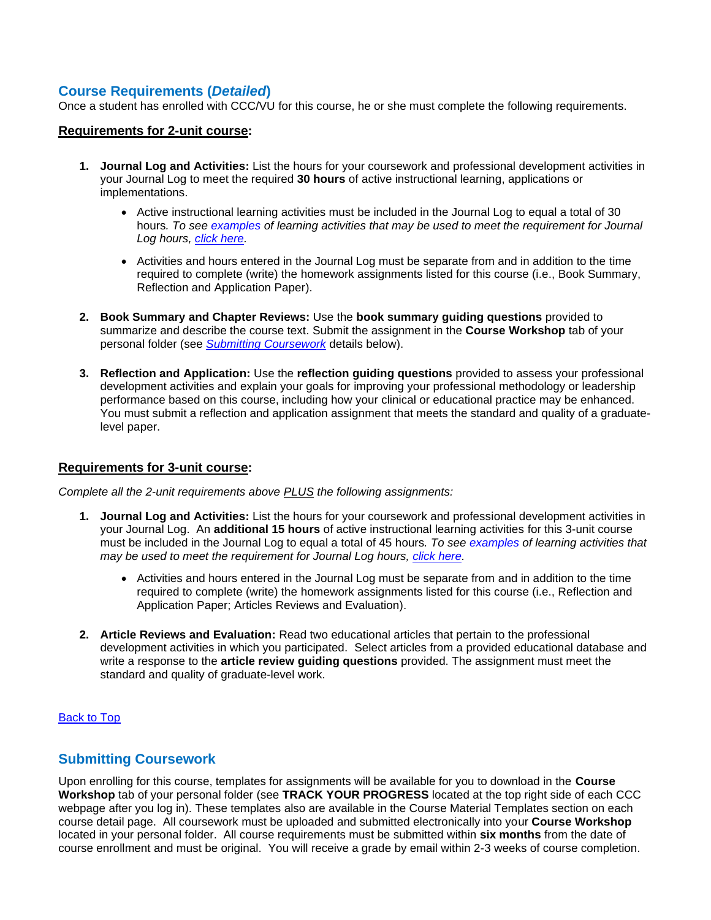## **Course Requirements (***Detailed***)**

Once a student has enrolled with CCC/VU for this course, he or she must complete the following requirements.

#### **Requirements for 2-unit course:**

- **1. Journal Log and Activities:** List the hours for your coursework and professional development activities in your Journal Log to meet the required **30 hours** of active instructional learning, applications or implementations.
	- Active instructional learning activities must be included in the Journal Log to equal a total of 30 hours*. To see [examples](#page-2-0) of learning activities that may be used to meet the requirement for Journal Log hours, [click here.](#page-2-0)*
	- Activities and hours entered in the Journal Log must be separate from and in addition to the time required to complete (write) the homework assignments listed for this course (i.e., Book Summary, Reflection and Application Paper).
- **2. Book Summary and Chapter Reviews:** Use the **book summary guiding questions** provided to summarize and describe the course text. Submit the assignment in the **Course Workshop** tab of your personal folder (see *[Submitting Coursework](#page-1-0)* details below).
- **3. Reflection and Application:** Use the **reflection guiding questions** provided to assess your professional development activities and explain your goals for improving your professional methodology or leadership performance based on this course, including how your clinical or educational practice may be enhanced. You must submit a reflection and application assignment that meets the standard and quality of a graduatelevel paper.

#### **Requirements for 3-unit course:**

*Complete all the 2-unit requirements above PLUS the following assignments:*

- **1. Journal Log and Activities:** List the hours for your coursework and professional development activities in your Journal Log. An **additional 15 hours** of active instructional learning activities for this 3-unit course must be included in the Journal Log to equal a total of 45 hours*. To see [examples](#page-2-0) of learning activities that may be used to meet the requirement for Journal Log hours, [click here.](#page-2-0)*
	- Activities and hours entered in the Journal Log must be separate from and in addition to the time required to complete (write) the homework assignments listed for this course (i.e., Reflection and Application Paper; Articles Reviews and Evaluation).
- **2. Article Reviews and Evaluation:** Read two educational articles that pertain to the professional development activities in which you participated. Select articles from a provided educational database and write a response to the **article review guiding questions** provided. The assignment must meet the standard and quality of graduate-level work.

#### [Back to Top](#page-0-0)

### <span id="page-1-0"></span>**Submitting Coursework**

Upon enrolling for this course, templates for assignments will be available for you to download in the **Course Workshop** tab of your personal folder (see **TRACK YOUR PROGRESS** located at the top right side of each CCC webpage after you log in). These templates also are available in the Course Material Templates section on each course detail page. All coursework must be uploaded and submitted electronically into your **Course Workshop** located in your personal folder. All course requirements must be submitted within **six months** from the date of course enrollment and must be original. You will receive a grade by email within 2-3 weeks of course completion.